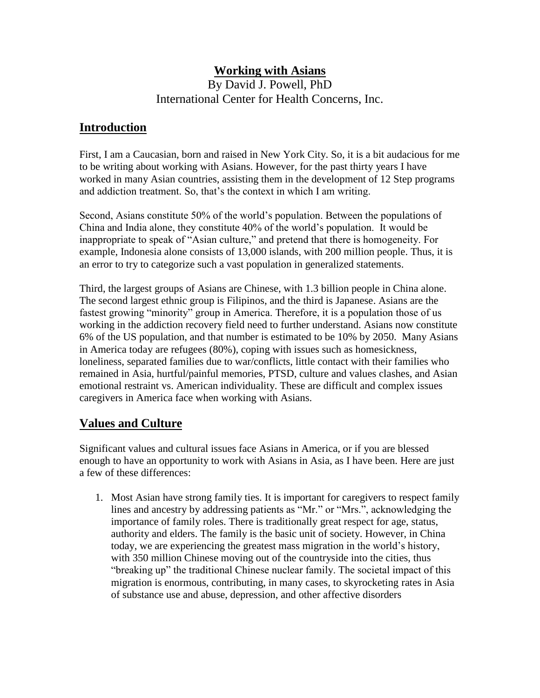# **Working with Asians**

By David J. Powell, PhD International Center for Health Concerns, Inc.

# **Introduction**

First, I am a Caucasian, born and raised in New York City. So, it is a bit audacious for me to be writing about working with Asians. However, for the past thirty years I have worked in many Asian countries, assisting them in the development of 12 Step programs and addiction treatment. So, that's the context in which I am writing.

Second, Asians constitute 50% of the world's population. Between the populations of China and India alone, they constitute 40% of the world's population. It would be inappropriate to speak of "Asian culture," and pretend that there is homogeneity. For example, Indonesia alone consists of 13,000 islands, with 200 million people. Thus, it is an error to try to categorize such a vast population in generalized statements.

Third, the largest groups of Asians are Chinese, with 1.3 billion people in China alone. The second largest ethnic group is Filipinos, and the third is Japanese. Asians are the fastest growing "minority" group in America. Therefore, it is a population those of us working in the addiction recovery field need to further understand. Asians now constitute 6% of the US population, and that number is estimated to be 10% by 2050. Many Asians in America today are refugees (80%), coping with issues such as homesickness, loneliness, separated families due to war/conflicts, little contact with their families who remained in Asia, hurtful/painful memories, PTSD, culture and values clashes, and Asian emotional restraint vs. American individuality. These are difficult and complex issues caregivers in America face when working with Asians.

# **Values and Culture**

Significant values and cultural issues face Asians in America, or if you are blessed enough to have an opportunity to work with Asians in Asia, as I have been. Here are just a few of these differences:

1. Most Asian have strong family ties. It is important for caregivers to respect family lines and ancestry by addressing patients as "Mr." or "Mrs.", acknowledging the importance of family roles. There is traditionally great respect for age, status, authority and elders. The family is the basic unit of society. However, in China today, we are experiencing the greatest mass migration in the world's history, with 350 million Chinese moving out of the countryside into the cities, thus "breaking up" the traditional Chinese nuclear family. The societal impact of this migration is enormous, contributing, in many cases, to skyrocketing rates in Asia of substance use and abuse, depression, and other affective disorders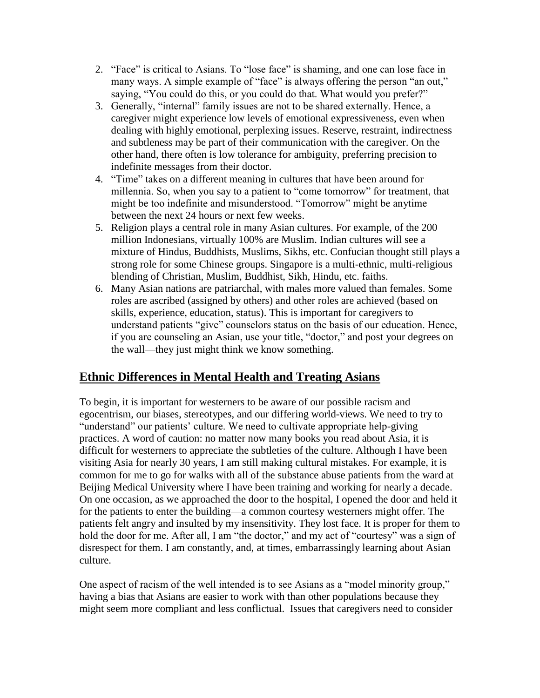- 2. "Face" is critical to Asians. To "lose face" is shaming, and one can lose face in many ways. A simple example of "face" is always offering the person "an out," saying, "You could do this, or you could do that. What would you prefer?"
- 3. Generally, "internal" family issues are not to be shared externally. Hence, a caregiver might experience low levels of emotional expressiveness, even when dealing with highly emotional, perplexing issues. Reserve, restraint, indirectness and subtleness may be part of their communication with the caregiver. On the other hand, there often is low tolerance for ambiguity, preferring precision to indefinite messages from their doctor.
- 4. "Time" takes on a different meaning in cultures that have been around for millennia. So, when you say to a patient to "come tomorrow" for treatment, that might be too indefinite and misunderstood. "Tomorrow" might be anytime between the next 24 hours or next few weeks.
- 5. Religion plays a central role in many Asian cultures. For example, of the 200 million Indonesians, virtually 100% are Muslim. Indian cultures will see a mixture of Hindus, Buddhists, Muslims, Sikhs, etc. Confucian thought still plays a strong role for some Chinese groups. Singapore is a multi-ethnic, multi-religious blending of Christian, Muslim, Buddhist, Sikh, Hindu, etc. faiths.
- 6. Many Asian nations are patriarchal, with males more valued than females. Some roles are ascribed (assigned by others) and other roles are achieved (based on skills, experience, education, status). This is important for caregivers to understand patients "give" counselors status on the basis of our education. Hence, if you are counseling an Asian, use your title, "doctor," and post your degrees on the wall—they just might think we know something.

# **Ethnic Differences in Mental Health and Treating Asians**

To begin, it is important for westerners to be aware of our possible racism and egocentrism, our biases, stereotypes, and our differing world-views. We need to try to "understand" our patients' culture. We need to cultivate appropriate help-giving practices. A word of caution: no matter now many books you read about Asia, it is difficult for westerners to appreciate the subtleties of the culture. Although I have been visiting Asia for nearly 30 years, I am still making cultural mistakes. For example, it is common for me to go for walks with all of the substance abuse patients from the ward at Beijing Medical University where I have been training and working for nearly a decade. On one occasion, as we approached the door to the hospital, I opened the door and held it for the patients to enter the building—a common courtesy westerners might offer. The patients felt angry and insulted by my insensitivity. They lost face. It is proper for them to hold the door for me. After all, I am "the doctor," and my act of "courtesy" was a sign of disrespect for them. I am constantly, and, at times, embarrassingly learning about Asian culture.

One aspect of racism of the well intended is to see Asians as a "model minority group," having a bias that Asians are easier to work with than other populations because they might seem more compliant and less conflictual. Issues that caregivers need to consider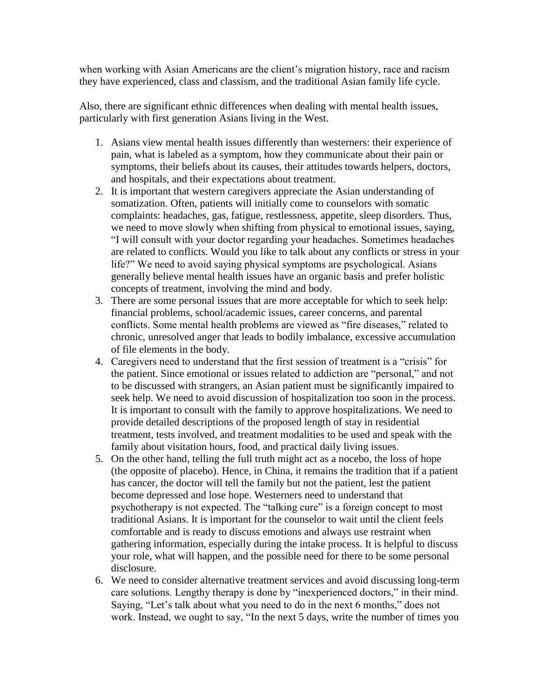when working with Asian Americans are the client's migration history, race and racism they have experienced, class and classism, and the traditional Asian family life cycle.

Also, there are significant ethnic differences when dealing with mental health issues, particularly with first generation Asians living in the West.

- 1. Asians view mental health issues differently than westerners: their experience of pain, what is labeled as a symptom, how they communicate about their pain or symptoms, their beliefs about its causes, their attitudes towards helpers, doctors, and hospitals, and their expectations about treatment.
- 2. It is important that western caregivers appreciate the Asian understanding of somatization. Often, patients will initially come to counselors with somatic complaints: headaches, gas, fatigue, restlessness, appetite, sleep disorders. Thus, we need to move slowly when shifting from physical to emotional issues, saying, "I will consult with your doctor regarding your headaches. Sometimes headaches are related to conflicts. Would you like to talk about any conflicts or stress in your life?" We need to avoid saying physical symptoms are psychological. Asians generally believe mental health issues have an organic basis and prefer holistic concepts of treatment, involving the mind and body.
- 3. There are some personal issues that are more acceptable for which to seek help: financial problems, school/academic issues, career concerns, and parental conflicts. Some mental health problems are viewed as "fire diseases," related to chronic, unresolved anger that leads to bodily imbalance, excessive accumulation of file elements in the body.
- 4. Caregivers need to understand that the first session of treatment is a "crisis" for the patient. Since emotional or issues related to addiction are "personal," and not to be discussed with strangers, an Asian patient must be significantly impaired to seek help. We need to avoid discussion of hospitalization too soon in the process. It is important to consult with the family to approve hospitalizations. We need to provide detailed descriptions of the proposed length of stay in residential treatment, tests involved, and treatment modalities to be used and speak with the family about visitation hours, food, and practical daily living issues.
- 5. On the other hand, telling the full truth might act as a nocebo, the loss of hope (the opposite of placebo). Hence, in China, it remains the tradition that if a patient has cancer, the doctor will tell the family but not the patient, lest the patient become depressed and lose hope. Westerners need to understand that psychotherapy is not expected. The "talking cure" is a foreign concept to most traditional Asians. It is important for the counselor to wait until the client feels comfortable and is ready to discuss emotions and always use restraint when gathering information, especially during the intake process. It is helpful to discuss your role, what will happen, and the possible need for there to be some personal disclosure.
- 6. We need to consider alternative treatment services and avoid discussing long-term care solutions. Lengthy therapy is done by "inexperienced doctors," in their mind. Saying, "Let's talk about what you need to do in the next 6 months," does not work. Instead, we ought to say, "In the next 5 days, write the number of times you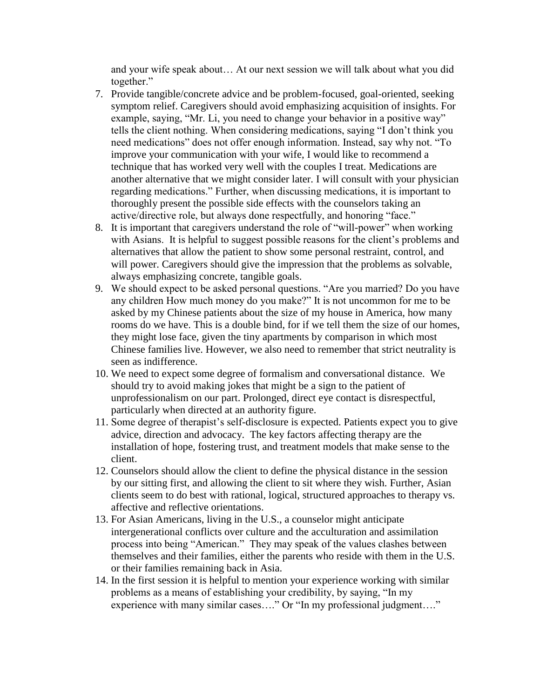and your wife speak about… At our next session we will talk about what you did together."

- 7. Provide tangible/concrete advice and be problem-focused, goal-oriented, seeking symptom relief. Caregivers should avoid emphasizing acquisition of insights. For example, saying, "Mr. Li, you need to change your behavior in a positive way" tells the client nothing. When considering medications, saying "I don't think you need medications" does not offer enough information. Instead, say why not. "To improve your communication with your wife, I would like to recommend a technique that has worked very well with the couples I treat. Medications are another alternative that we might consider later. I will consult with your physician regarding medications." Further, when discussing medications, it is important to thoroughly present the possible side effects with the counselors taking an active/directive role, but always done respectfully, and honoring "face."
- 8. It is important that caregivers understand the role of "will-power" when working with Asians. It is helpful to suggest possible reasons for the client's problems and alternatives that allow the patient to show some personal restraint, control, and will power. Caregivers should give the impression that the problems as solvable, always emphasizing concrete, tangible goals.
- 9. We should expect to be asked personal questions. "Are you married? Do you have any children How much money do you make?" It is not uncommon for me to be asked by my Chinese patients about the size of my house in America, how many rooms do we have. This is a double bind, for if we tell them the size of our homes, they might lose face, given the tiny apartments by comparison in which most Chinese families live. However, we also need to remember that strict neutrality is seen as indifference.
- 10. We need to expect some degree of formalism and conversational distance. We should try to avoid making jokes that might be a sign to the patient of unprofessionalism on our part. Prolonged, direct eye contact is disrespectful, particularly when directed at an authority figure.
- 11. Some degree of therapist's self-disclosure is expected. Patients expect you to give advice, direction and advocacy. The key factors affecting therapy are the installation of hope, fostering trust, and treatment models that make sense to the client.
- 12. Counselors should allow the client to define the physical distance in the session by our sitting first, and allowing the client to sit where they wish. Further, Asian clients seem to do best with rational, logical, structured approaches to therapy vs. affective and reflective orientations.
- 13. For Asian Americans, living in the U.S., a counselor might anticipate intergenerational conflicts over culture and the acculturation and assimilation process into being "American." They may speak of the values clashes between themselves and their families, either the parents who reside with them in the U.S. or their families remaining back in Asia.
- 14. In the first session it is helpful to mention your experience working with similar problems as a means of establishing your credibility, by saying, "In my experience with many similar cases...." Or "In my professional judgment...."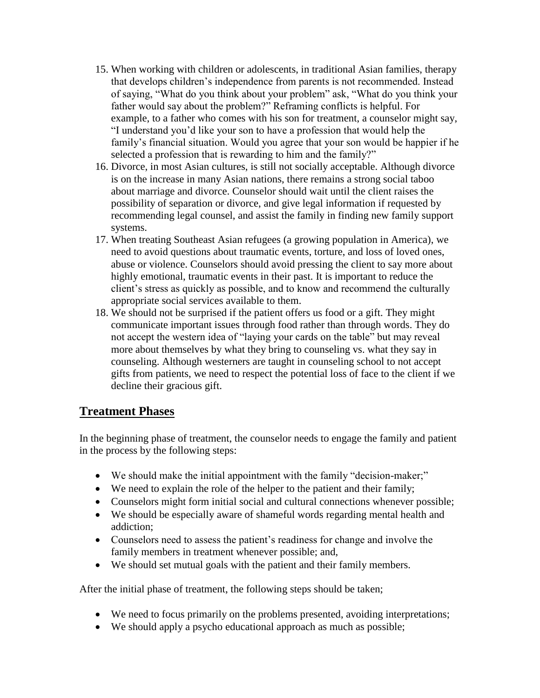- 15. When working with children or adolescents, in traditional Asian families, therapy that develops children's independence from parents is not recommended. Instead of saying, "What do you think about your problem" ask, "What do you think your father would say about the problem?" Reframing conflicts is helpful. For example, to a father who comes with his son for treatment, a counselor might say, "I understand you'd like your son to have a profession that would help the family's financial situation. Would you agree that your son would be happier if he selected a profession that is rewarding to him and the family?"
- 16. Divorce, in most Asian cultures, is still not socially acceptable. Although divorce is on the increase in many Asian nations, there remains a strong social taboo about marriage and divorce. Counselor should wait until the client raises the possibility of separation or divorce, and give legal information if requested by recommending legal counsel, and assist the family in finding new family support systems.
- 17. When treating Southeast Asian refugees (a growing population in America), we need to avoid questions about traumatic events, torture, and loss of loved ones, abuse or violence. Counselors should avoid pressing the client to say more about highly emotional, traumatic events in their past. It is important to reduce the client's stress as quickly as possible, and to know and recommend the culturally appropriate social services available to them.
- 18. We should not be surprised if the patient offers us food or a gift. They might communicate important issues through food rather than through words. They do not accept the western idea of "laying your cards on the table" but may reveal more about themselves by what they bring to counseling vs. what they say in counseling. Although westerners are taught in counseling school to not accept gifts from patients, we need to respect the potential loss of face to the client if we decline their gracious gift.

# **Treatment Phases**

In the beginning phase of treatment, the counselor needs to engage the family and patient in the process by the following steps:

- We should make the initial appointment with the family "decision-maker;"
- We need to explain the role of the helper to the patient and their family;
- Counselors might form initial social and cultural connections whenever possible;
- We should be especially aware of shameful words regarding mental health and addiction;
- Counselors need to assess the patient's readiness for change and involve the family members in treatment whenever possible; and,
- We should set mutual goals with the patient and their family members.

After the initial phase of treatment, the following steps should be taken;

- We need to focus primarily on the problems presented, avoiding interpretations;
- We should apply a psycho educational approach as much as possible;